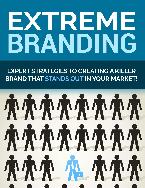# EXTREME BRANDING

**EXPERT STRATEGIES TO CREATING A KILLER BRAND THAT STANDS OUT IN YOUR MARKET!** 

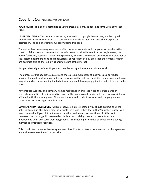#### **Copyright ©**All rights reserved worldwide.

**YOUR RIGHTS:** This book is restricted to your personal use only. It does not come with any other rights.

**LEGAL DISCLAIMER:** This book is protected by international copyrightlaw and may not be copied, reproduced, given away, or used to create derivative works without the publisher's expressed permission. The publisher retains full copyrights to this book.

The author has made every reasonable effort to be as accurate and complete as possible in the creation of this book and to ensure that the information provided is free from errors; however, the author/publisher/ reseller assumes no responsibility for errors, omissions, or contrary interpretation of the subject matter herein and does not warrant or represent at any time that the contents within are accurate due to the rapidly changing nature of the Internet.

Any perceived slights of specific persons, peoples, or organizations are unintentional.

The purpose of this book is to educate and there are no guarantees of income, sales or results implied. The publisher/author/reseller can therefore not be held accountable for any poor results you may attain when implementing the techniques or when following any guidelines set out for you in this book.

Any product, website, and company names mentioned in this report are the trademarks or copyright properties of their respective owners. The author/publisher/reseller are not associated or affiliated with them in any way. Nor does the referred product, website, and company names sponsor, endorse, or approve this product.

**COMPENSATION DISCLOSURE:** Unless otherwise expressly stated, you should assume that the links contained in this book may be affiliate links and either the author/publisher/reseller will earn commission if you click on them and buy the product/service mentioned in this book. However, the author/publisher/reseller disclaim any liability that may result from your involvement with any such websites/products. You should perform due diligence before buying mentioned products or services.

This constitutes the entire license agreement. Any disputes or terms not discussed in this agreement are at the sole discretion of the publisher.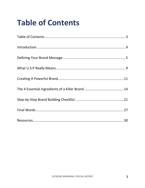### **Table of Contents**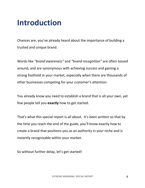### **Introduction**

Chances are, you've already heard about the importance of building a trusted and unique brand.

Words like *"brand awareness"* and *"brand recognition"* are often tossed around, and are synonymous with achieving success and gaining a strong foothold in your market, especially when there are thousands of other businesses competing for your customer's attention.

You already know you need to establish a brand that is all your own, yet few people tell you **exactly** how to get started.

That's what this special report is all about. It's been written so that by the time you reach the end of the guide, you'll know exactly how to create a brand that positions you as an authority in your niche and is instantly recognizable within your market.

So without further delay, let's get started!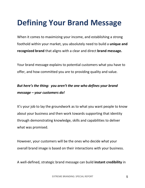### **Defining Your Brand Message**

When it comes to maximizing your income, and establishing a strong foothold within your market, you absolutely need to build a **unique and recognized brand** that aligns with a clear and direct **brand message.**

Your brand message explains to potential customers what you have to offer, and how committed you are to providing quality and value.

#### *But here's the thing: you aren't the one who defines your brand message – your customers do!*

It's your job to lay the groundwork as to what you want people to know about your business and then work towards supporting that identity through demonstrating knowledge, skills and capabilities to deliver what was promised.

However, your customers will be the ones who decide what your overall brand image is based on their interactions with your business.

A well-defined, strategic brand message can build **instant credibility** in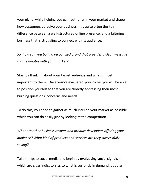your niche, while helping you gain authority in your market and shape how customers perceive your business. It's quite often the key difference between a well-structured online presence, and a faltering business that is struggling to connect with its audience.

*So, how can you build a recognized brand that provides a clear message that resonates with your market?*

Start by thinking about your target audience and what is most important to them. Once you've evaluated your niche, you will be able to position yourself so that you are **directly** addressing their most burning questions, concerns and needs.

To do this, you need to gather as much intel on your market as possible, which you can do easily just by looking at the competition.

*What are other business owners and product developers offering your audience? What kind of products and services are they successfully selling?* 

Take things to social media and begin by **evaluating social signals** – which are clear indicators as to what is currently in demand, popular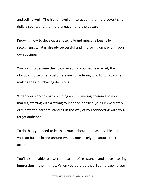and selling well. The higher level of interaction, the more advertising dollars spent, and the more engagement; the better.

Knowing how to develop a strategic brand message begins by recognizing what is already successful and improving on it within your own business.

You want to become the go-to person in your niche market, the obvious choice when customers are considering who to turn to when making their purchasing decisions.

When you work towards building an unwavering presence in your market, starting with a strong foundation of trust, you'll immediately eliminate the barriers standing in the way of you connecting with your target audience.

To do that, you need to learn as much about them as possible so that you can build a brand around what is most likely to capture their attention.

You'll also be able to lower the barrier of resistance, and leave a lasting impression in their minds. When you do that, they'll come back to you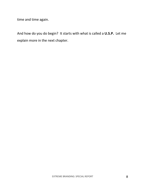time and time again.

And how do you do begin? It starts with what is called a **U.S.P.** Let me explain more in the next chapter.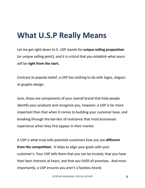### **What U.S.P Really Means**

Let me get right down to it. USP stands for **unique selling proposition** (or unique selling point), and it is critical that you establish what yours will be **right from the start.**

Contrary to popular belief, a USP has *nothing* to do with logos, slogans or graphic design.

Sure, those are components of your overall brand that help people identify your products and recognize you, however, a USP is far more important than that when it comes to building your customer base, and breaking through the barriers of resistance that most businesses experience when they first appear in their market.

A USP is what truly tells potential customers how you are **different from the competition.** It helps to align your goals with your customer's. Your USP tells them that you can be trusted, that you have their best interests at heart, and that you fulfill all promises. And most importantly, a USP ensures you aren't a faceless brand.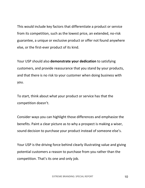This would include key factors that differentiate a product or service from its competition, such as the lowest price, an extended, no-risk guarantee, a unique or exclusive product or offer not found anywhere else, or the first-ever product of its kind.

Your USP should also **demonstrate your dedication** to satisfying customers, and provide reassurance that you stand by your products, and that there is no risk to your customer when doing business with you.

To start, think about what your product or service has that the competition doesn't.

Consider ways you can highlight those differences and emphasize the benefits. Paint a clear picture as to why a prospect is making a wiser, sound decision to purchase your product instead of someone else's.

Your USP is the driving force behind clearly illustrating value and giving potential customers a reason to purchase from you rather than the competition. That's its one and only job.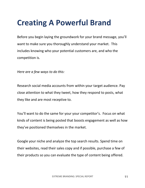### **Creating A Powerful Brand**

Before you begin laying the groundwork for your brand message, you'll want to make sure you thoroughly understand your market. This includes knowing who your potential customers are, and who the competition is.

*Here are a few ways to do this:*

Research social media accounts from within your target audience. Pay close attention to what they tweet, how they respond to posts, what they like and are most receptive to.

You'll want to do the same for your your competitor's. Focus on what kinds of content is being posted that boosts engagement as well as how they've positioned themselves in the market.

Google your niche and analyze the top search results. Spend time on their websites, read their sales copy and if possible, purchase a few of their products so you can evaluate the type of content being offered.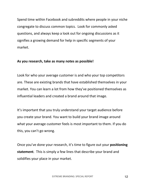Spend time within Facebook and subreddits where people in your niche congregate to discuss common topics. Look for commonly asked questions, and always keep a look out for ongoing discussions as it signifies a growing demand for help in specific segments of your market.

#### **As you research, take as many notes as possible!**

Look for who your average customer is and who your top competitors are. These are existing brands that have established themselves in your market. You can learn a lot from how they've positioned themselves as influential leaders and created a brand around that image.

It's important that you truly understand your target audience before you create your brand. You want to build your brand image around what your average customer feels is most important to them. If you do this, you can't go wrong.

Once you've done your research, it's time to figure out your **positioning statement**. This is simply a few lines that describe your brand and solidifies your place in your market.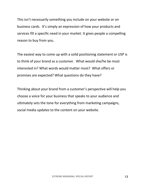This isn't necessarily something you include on your website or on business cards. It's simply an expression of how your products and services fill a specific need in your market. It gives people a compelling reason to buy from you.

The easiest way to come up with a solid positioning statement or USP is to think of your brand as a customer. What would she/he be most interested in? What words would matter most? What offers or promises are expected? What questions do they have?

Thinking about your brand from a customer's perspective will help you choose a voice for your business that speaks to your audience and ultimately sets the tone for everything from marketing campaigns, social media updates to the content on your website.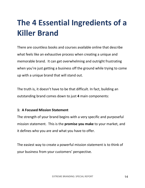# **The 4 Essential Ingredients of a Killer Brand**

There are countless books and courses available online that describe what feels like an exhaustive process when creating a unique and memorable brand. It can get overwhelming and outright frustrating when you're just getting a business off the ground while trying to come up with a unique brand that will stand out.

The truth is, it doesn't have to be that difficult. In fact, building an outstanding brand comes down to just **4** main components:

#### **1: A Focused Mission Statement**

The strength of your brand begins with a very specific and purposeful mission statement. This is the **promise you make** to your market, and it defines who you are and what you have to offer.

The easiest way to create a powerful mission statement is to think of your business from your customers' perspective.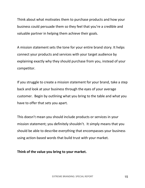Think about what motivates them to purchase products and how your business could persuade them so they feel that you're a credible and valuable partner in helping them achieve their goals.

A mission statement sets the tone for your entire brand story. It helps connect your products and services with your target audience by explaining exactly why they should purchase from you, instead of your competitor.

If you struggle to create a mission statement for your brand, take a step back and look at your business through the eyes of your average customer. Begin by outlining what you bring to the table and what you have to offer that sets you apart.

This doesn't mean you should include products or services in your mission statement; you definitely shouldn't. It simply means that you should be able to describe everything that encompasses your business using action-based words that build trust with your market.

**Think of the value you bring to your market.**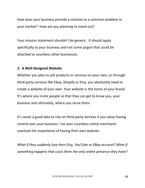How does your business provide a solution to a common problem in your market? How are you planning to stand out?

Your mission statement shouldn't be generic. It should apply specifically to your business and not some jargon that could be attached to countless other businesses.

#### **2: A Well-Designed Website**

Whether you plan to sell products or services on your own, or through third-party services like Ebay, Shopify or Etsy, you absolutely need to create a website of your own. Your website is the home of your brand. It's where you invite people so that they can get to know you, your business and ultimately, where you serve them.

It's never a good idea to rely on third-party services if you value having control over your business. I've seen countless online merchants overlook the importance of having their own website.

*What if they suddenly lose their Etsy, YouTube or EBay account? What if something happens that costs them the only online presence they have?*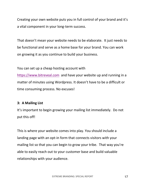Creating your own website puts you in full control of your brand and it's a vital component in your long-term success.

That doesn't mean your website needs to be elaborate. It just needs to be functional and serve as a home base for your brand. You can work on growing it as you continue to build your business.

You can set up a cheap hosting account with

https://www.bitreveal.com and have your website up and running in a matter of minutes using Wordpress. It doesn't have to be a difficult or time consuming process. No excuses!

#### **3: A Mailing List**

It's important to begin growing your mailing list immediately. Do not put this off!

This is where your website comes into play. You should include a landing page with an opt-in form that connects visitors with your mailing list so that you can begin to grow your tribe. That way you're able to easily reach out to your customer base and build valuable relationships with your audience.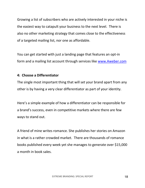Growing a list of subscribers who are actively interested in your niche is the easiest way to catapult your business to the next level. There is also no other marketing strategy that comes close to the effectiveness of a targeted mailing list, nor one as affordable.

You can get started with just a landing page that features an opt-in form and a mailing list account through services like www.Aweber.com

#### **4: Choose a Differentiator**

The single most important thing that will set your brand apart from any other is by having a very clear differentiator as part of your identity.

Here's a simple example of how a differentiator can be responsible for a brand's success, even in competitive markets where there are few ways to stand out.

A friend of mine writes romance. She publishes her stories on Amazon in what is a rather crowded market. There are thousands of romance books published every week yet she manages to generate over \$15,000 a month in book sales.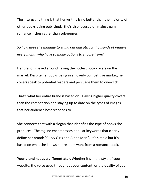The interesting thing is that her writing is no better than the majority of other books being published. She's also focused on mainstream romance niches rather than sub-genres.

*So how does she manage to stand out and attract thousands of readers every month who have so many options to choose from*?

Her brand is based around having the hottest book covers on the market. Despite her books being in an overly competitive market, her covers speak to potential readers and persuade them to one-click.

That's what her entire brand is based on. Having higher quality covers than the competition and staying up to date on the types of images that her audience best responds to.

She connects that with a slogan that identifies the type of books she produces. The tagline encompasses popular keywords that clearly define her brand: "Curvy Girls and Alpha Men". It's simple but it's based on what she knows her readers want from a romance book.

**Your brand needs a differentiator**. Whether it's in the style of your website, the voice used throughout your content, or the quality of your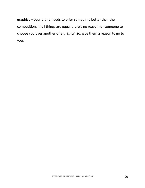graphics – your brand needs to offer something better than the competition. If all things are equal there's no reason for someone to choose you over another offer, right? So, give them a reason to go to you.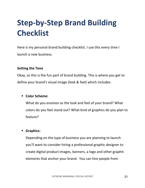# **Step-by-Step Brand Building Checklist**

Here is my personal brand building checklist. I use this every time I launch a new business.

#### **Setting the Tone**

Okay, so this is the fun part of brand building. This is where you get to define your brand's visual image (look & feel) which includes:

#### § **Color Scheme:**

What do you envision as the look and feel of your brand? What colors do you feel stand out? What kind of graphics do you plan to feature?

#### § **Graphics:**

Depending on the type of business you are planning to launch you'll want to consider hiring a professional graphic designer to create digital product images, banners, a logo and other graphic elements that anchor your brand. You can hire people from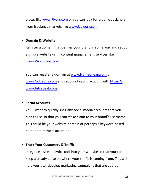places like www.Fiverr.com or you can look for graphic designers from freelance markets like www.Upwork.com

#### § **Domain & Website:**

Register a domain that defines your brand in some way and set up a simple website using content management services like www.Wordpress.com

You can register a domain at www.NameCheap.com or www.GoDaddy.com and set up a hosting account with https:// www.bitreveal.com.

#### § **Social Accounts**

You'll want to quickly snag any social media accounts that you plan to use so that you can stake claim to your brand's username. This could be your website domain or perhaps a keyword-based name that attracts attention.

#### § **Track Your Customers & Traffic**

Integrate a site analytics tool into your website so that you can keep a steady pulse on where your traffic is coming from. This will help you later develop marketing campaigns that are geared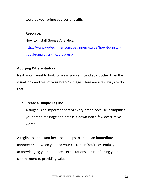towards your prime sources of traffic.

#### **Resource:**

How to install Google Analytics: http://www.wpbeginner.com/beginners-guide/how-to-installgoogle-analytics-in-wordpress/

#### **Applying Differentiators**

Next, you'll want to look for ways you can stand apart other than the visual look and feel of your brand's image. Here are a few ways to do that:

#### § **Create a Unique Tagline**

A slogan is an important part of every brand because it simplifies your brand message and breaks it down into a few descriptive words.

A tagline is important because it helps to create an **immediate connection** between you and your customer. You're essentially acknowledging your audience's expectations and reinforcing your commitment to providing value.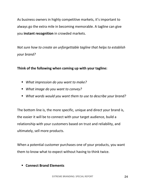As business owners in highly competitive markets, it's important to always go the extra mile in becoming memorable. A tagline can give you **instant recognition** in crowded markets.

*Not sure how to create an unforgettable tagline that helps to establish your brand?*

**Think of the following when coming up with your tagline:**

- *What impression do you want to make?*
- § *What image do you want to convey?*
- § *What words would you want them to use to describe your brand?*

The bottom line is, the more specific, unique and direct your brand is, the easier it will be to connect with your target audience, build a relationship with your customers based on trust and reliability, and ultimately, sell more products.

When a potential customer purchases one of your products, you want them to know what to expect without having to think twice.

§ **Connect Brand Elements**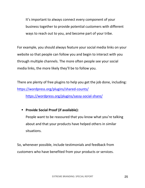It's important to always connect every component of your business together to provide potential customers with different ways to reach out to you, and become part of your tribe.

For example, you should always feature your social media links on your website so that people can follow you and begin to interact with you through multiple channels. The more often people see your social media links, the more likely they'll be to follow you.

There are plenty of free plugins to help you get the job done, including: https://wordpress.org/plugins/shared-counts/

https://wordpress.org/plugins/sassy-social-share/

§ **Provide Social Proof (if available):**

People want to be reassured that you know what you're talking about and that your products have helped others in similar situations.

So, whenever possible, include testimonials and feedback from customers who have benefited from your products or services.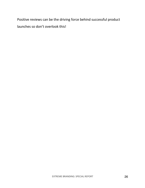Positive reviews can be the driving force behind successful product launches so don't overlook this!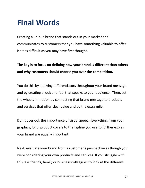### **Final Words**

Creating a unique brand that stands out in your market and communicates to customers that you have something valuable to offer isn't as difficult as you may have first thought.

#### **The key is to focus on defining how your brand is different than others and why customers should choose you over the competition.**

You do this by applying differentiators throughout your brand message and by creating a look and feel that speaks to your audience. Then, set the wheels in motion by connecting that brand message to products and services that offer clear value and go the extra mile.

Don't overlook the importance of visual appeal. Everything from your graphics, logo, product covers to the tagline you use to further explain your brand are equally important.

Next, evaluate your brand from a customer's perspective as though you were considering your own products and services. If you struggle with this, ask friends, family or business colleagues to look at the different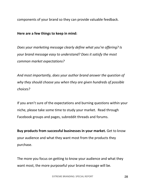components of your brand so they can provide valuable feedback.

**Here are a few things to keep in mind:**

*Does your marketing message clearly define what you're offering? Is your brand message easy to understand? Does it satisfy the most common market expectations?*

*And most importantly, does your author brand answer the question of why they should choose you when they are given hundreds of possible choices?*

If you aren't sure of the expectations and burning questions within your niche, please take some time to study your market. Read through Facebook groups and pages, subreddit threads and forums.

**Buy products from successful businesses in your market.** Get to know your audience and what they want most from the products they purchase.

The more you focus on getting to know your audience and what they want most, the more purposeful your brand message will be.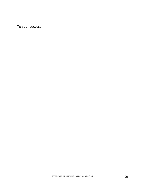To your success!